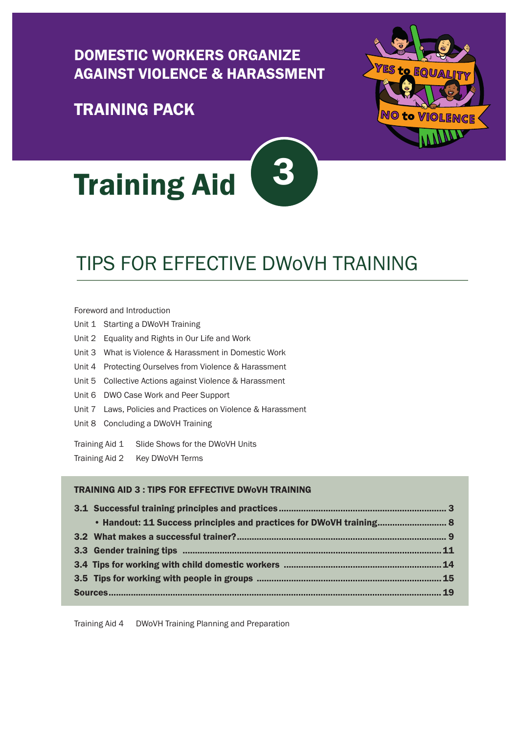### [DOMESTIC WORKERS ORGANIZE](https://idwfed.org/en/resources/training-pack-yes-to-equality-no-to-violence-domestic-workers-organize-against-violence-and-harassment-dwovh/@@display-file/attachment_1)  [AGAINST VIOLENCE & HARASSMENT](https://idwfed.org/en/resources/training-pack-yes-to-equality-no-to-violence-domestic-workers-organize-against-violence-and-harassment-dwovh/@@display-file/attachment_1)

### [TRAINING PACK](https://idwfed.org/en/resources/training-pack-yes-to-equality-no-to-violence-domestic-workers-organize-against-violence-and-harassment-dwovh/@@display-file/attachment_1)



# TIPS FOR EFFECTIVE DWoVH TRAINING

NO to Violenci

#### [Foreword and Introduction](https://idwfed.org/en/resources/training-pack-yes-to-equality-no-to-violence-domestic-workers-organize-against-violence-and-harassment-dwovh/@@display-file/attachment_2)

- Unit 1 [Starting a DWoVH Training](https://idwfed.org/en/resources/training-pack-yes-to-equality-no-to-violence-domestic-workers-organize-against-violence-and-harassment-dwovh/@@display-file/attachment_3)
- Unit 2 [Equality and Rights in Our Life and Work](https://idwfed.org/en/resources/training-pack-yes-to-equality-no-to-violence-domestic-workers-organize-against-violence-and-harassment-dwovh/@@display-file/attachment_4)
- Unit 3 [What is Violence & Harassment in Domestic Work](https://idwfed.org/en/resources/training-pack-yes-to-equality-no-to-violence-domestic-workers-organize-against-violence-and-harassment-dwovh/@@display-file/attachment_5)
- Unit 4 [Protecting Ourselves from Violence & Harassment](http://https://idwfed.org/en/resources/training-pack-yes-to-equality-no-to-violence-domestic-workers-organize-against-violence-and-harassment-dwovh/@@display-file/attachment_6)
- Unit 5 [Collective Actions against Violence & Harassment](https://idwfed.org/en/resources/training-pack-yes-to-equality-no-to-violence-domestic-workers-organize-against-violence-and-harassment-dwovh/@@display-file/attachment_7)
- Unit 6 [DWO Case Work and Peer Support](https://idwfed.org/en/resources/training-pack-yes-to-equality-no-to-violence-domestic-workers-organize-against-violence-and-harassment-dwovh/@@display-file/attachment_8)
- Unit 7 [Laws, Policies and Practices on Violence & Harassment](https://idwfed.org/en/resources/training-pack-yes-to-equality-no-to-violence-domestic-workers-organize-against-violence-and-harassment-dwovh/@@display-file/attachment_9)
- Unit 8 [Concluding a DWoVH Training](https://idwfed.org/en/resources/training-pack-yes-to-equality-no-to-violence-domestic-workers-organize-against-violence-and-harassment-dwovh/@@display-file/attachment_10)
- Training Aid 1 [Slide Shows for the DWoVH Units](https://idwfed.org/en/media/dwovh)
- Training Aid 2 [Key DWoVH Terms](https://idwfed.org/en/resources/training-pack-yes-to-equality-no-to-violence-domestic-workers-organize-against-violence-and-harassment-dwovh/@@display-file/attachment_12)

#### TRAINING AID 3 : TIPS FOR EFFECTIVE DWoVH TRAINING

|  | • Handout: 11 Success principles and practices for DWoVH training 8 |  |  |
|--|---------------------------------------------------------------------|--|--|
|  |                                                                     |  |  |
|  |                                                                     |  |  |
|  |                                                                     |  |  |
|  |                                                                     |  |  |
|  |                                                                     |  |  |
|  |                                                                     |  |  |

Training Aid 4 [DWoVH Training Planning and Preparation](https://idwfed.org/en/resources/training-pack-yes-to-equality-no-to-violence-domestic-workers-organize-against-violence-and-harassment-dwovh/@@display-file/attachment_14)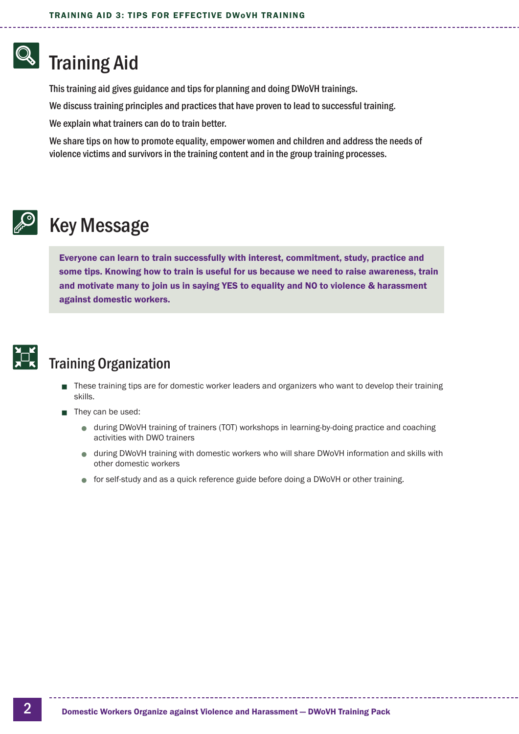# Training Aid

This training aid gives guidance and tips for planning and doing DWoVH trainings.

We discuss training principles and practices that have proven to lead to successful training.

We explain what trainers can do to train better.

We share tips on how to promote equality, empower women and children and address the needs of violence victims and survivors in the training content and in the group training processes.



# Key Message

Everyone can learn to train successfully with interest, commitment, study, practice and some tips. Knowing how to train is useful for us because we need to raise awareness, train and motivate many to join us in saying YES to equality and NO to violence & harassment against domestic workers.



### Training Organization

- These training tips are for domestic worker leaders and organizers who want to develop their training skills.
- They can be used:
	- $\bullet$  during DWoVH training of trainers (TOT) workshops in learning-by-doing practice and coaching activities with DWO trainers
	- **during DWoVH training with domestic workers who will share DWoVH information and skills with** other domestic workers
	- $\bullet$  for self-study and as a quick reference guide before doing a DWoVH or other training.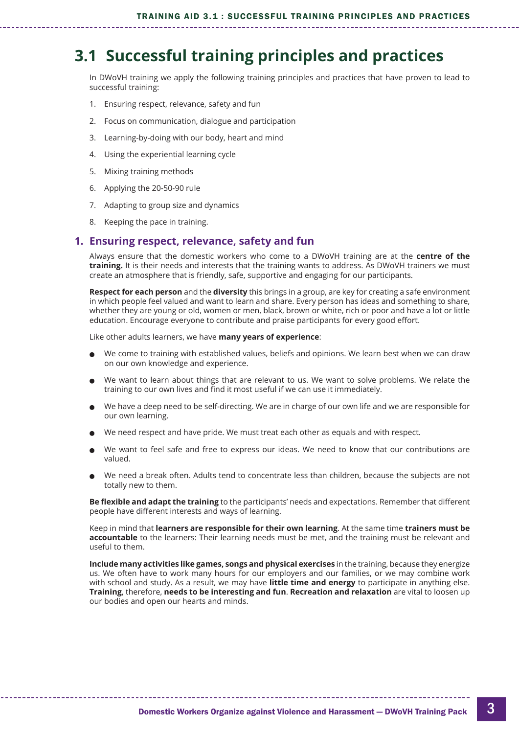## <span id="page-2-0"></span>**3.1 Successful training principles and practices**

In DWoVH training we apply the following training principles and practices that have proven to lead to successful training:

- 1. Ensuring respect, relevance, safety and fun
- 2. Focus on communication, dialogue and participation
- 3. Learning-by-doing with our body, heart and mind
- 4. Using the experiential learning cycle
- 5. Mixing training methods
- 6. Applying the 20-50-90 rule
- 7. Adapting to group size and dynamics
- 8. Keeping the pace in training.

#### **1. Ensuring respect, relevance, safety and fun**

Always ensure that the domestic workers who come to a DWoVH training are at the **centre of the training.** It is their needs and interests that the training wants to address. As DWoVH trainers we must create an atmosphere that is friendly, safe, supportive and engaging for our participants.

**Respect for each person** and the **diversity** this brings in a group, are key for creating a safe environment in which people feel valued and want to learn and share. Every person has ideas and something to share, whether they are young or old, women or men, black, brown or white, rich or poor and have a lot or little education. Encourage everyone to contribute and praise participants for every good effort.

Like other adults learners, we have **many years of experience**:

- <sup>l</sup> We come to training with established values, beliefs and opinions. We learn best when we can draw on our own knowledge and experience.
- We want to learn about things that are relevant to us. We want to solve problems. We relate the training to our own lives and find it most useful if we can use it immediately.
- <sup>l</sup> We have a deep need to be self-directing. We are in charge of our own life and we are responsible for our own learning.
- We need respect and have pride. We must treat each other as equals and with respect.
- <sup>l</sup> We want to feel safe and free to express our ideas. We need to know that our contributions are valued.
- <sup>l</sup> We need a break often. Adults tend to concentrate less than children, because the subjects are not totally new to them.

**Be flexible and adapt the training** to the participants' needs and expectations. Remember that different people have different interests and ways of learning.

Keep in mind that **learners are responsible for their own learning**. At the same time **trainers must be accountable** to the learners: Their learning needs must be met, and the training must be relevant and useful to them.

**Include many activities like games, songs and physical exercises** in the training, because they energize us. We often have to work many hours for our employers and our families, or we may combine work with school and study. As a result, we may have **little time and energy** to participate in anything else. **Training**, therefore, **needs to be interesting and fun**. **Recreation and relaxation** are vital to loosen up our bodies and open our hearts and minds.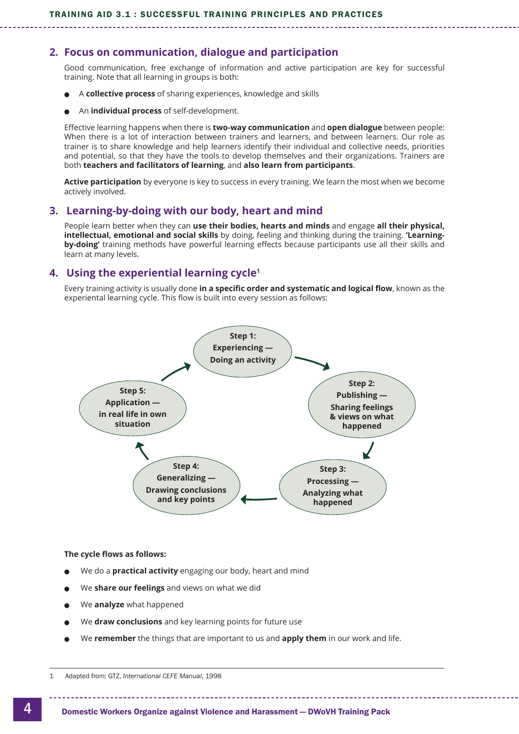#### **2. Focus on communication, dialogue and participation**

Good communication, free exchange of information and active participation are key for successful training. Note that all learning in groups is both:

- <sup>l</sup> A **collective process** of sharing experiences, knowledge and skills
- **An individual process** of self-development.

Effective learning happens when there is **two-way communication** and **open dialogue** between people: When there is a lot of interaction between trainers and learners, and between learners. Our role as trainer is to share knowledge and help learners identify their individual and collective needs, priorities and potential, so that they have the tools to develop themselves and their organizations. Trainers are both **teachers and facilitators of learning**, and **also learn from participants**.

**Active participation** by everyone is key to success in every training. We learn the most when we become actively involved.

#### **3. Learning-by-doing with our body, heart and mind**

People learn better when they can **use their bodies, hearts and minds** and engage **all their physical, intellectual, emotional and social skills** by doing, feeling and thinking during the training. **'Learningby-doing'** training methods have powerful learning effects because participants use all their skills and learn at many levels.

#### **4. Using the experiential learning cycle1**

Every training activity is usually done **in a specific order and systematic and logical flow**, known as the experiental learning cycle. This flow is built into every session as follows:



#### **The cycle flows as follows:**

- <sup>l</sup> We do a **practical activity** engaging our body, heart and mind
- <sup>l</sup> We **share our feelings** and views on what we did
- <sup>l</sup> We **analyze** what happened
- <sup>l</sup> We **draw conclusions** and key learning points for future use
- <sup>l</sup> We **remember** the things that are important to us and **apply them** in our work and life.

<sup>1</sup> Adapted from: GTZ, *International CEFE Manual*, 1998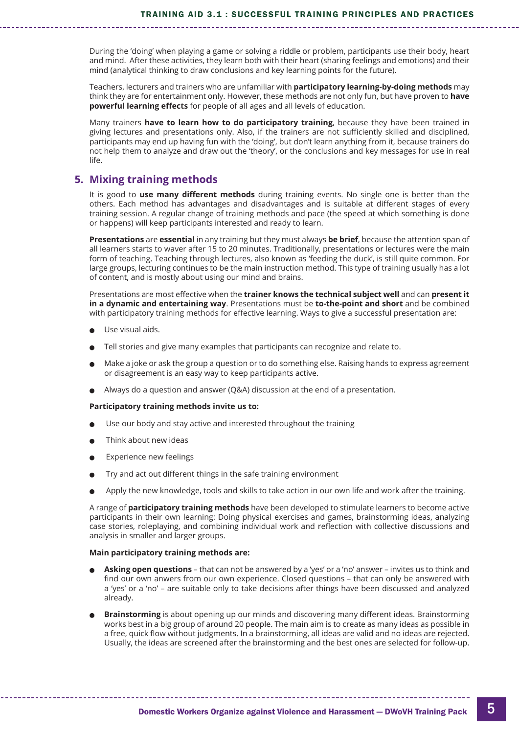During the 'doing' when playing a game or solving a riddle or problem, participants use their body, heart and mind. After these activities, they learn both with their heart (sharing feelings and emotions) and their mind (analytical thinking to draw conclusions and key learning points for the future).

Teachers, lecturers and trainers who are unfamiliar with **participatory learning-by-doing methods** may think they are for entertainment only. However, these methods are not only fun, but have proven to **have powerful learning effects** for people of all ages and all levels of education.

Many trainers **have to learn how to do participatory training**, because they have been trained in giving lectures and presentations only. Also, if the trainers are not sufficiently skilled and disciplined, participants may end up having fun with the 'doing', but don't learn anything from it, because trainers do not help them to analyze and draw out the 'theory', or the conclusions and key messages for use in real life.

#### **5. Mixing training methods**

It is good to **use many different methods** during training events. No single one is better than the others. Each method has advantages and disadvantages and is suitable at different stages of every training session. A regular change of training methods and pace (the speed at which something is done or happens) will keep participants interested and ready to learn.

**Presentations** are **essential** in any training but they must always **be brief**, because the attention span of all learners starts to waver after 15 to 20 minutes. Traditionally, presentations or lectures were the main form of teaching. Teaching through lectures, also known as 'feeding the duck', is still quite common. For large groups, lecturing continues to be the main instruction method. This type of training usually has a lot of content, and is mostly about using our mind and brains.

Presentations are most effective when the **trainer knows the technical subject well** and can **present it in a dynamic and entertaining way**. Presentations must be **to-the-point and short** and be combined with participatory training methods for effective learning. Ways to give a successful presentation are:

- Use visual aids.
- <sup>l</sup> Tell stories and give many examples that participants can recognize and relate to.
- <sup>l</sup> Make a joke or ask the group a question or to do something else. Raising hands to express agreement or disagreement is an easy way to keep participants active.
- <sup>l</sup> Always do a question and answer (Q&A) discussion at the end of a presentation.

#### **Participatory training methods invite us to:**

- <sup>l</sup> Use our body and stay active and interested throughout the training
- Think about new ideas
- Experience new feelings
- <sup>l</sup> Try and act out different things in the safe training environment
- <sup>l</sup> Apply the new knowledge, tools and skills to take action in our own life and work after the training.

A range of **participatory training methods** have been developed to stimulate learners to become active participants in their own learning: Doing physical exercises and games, brainstorming ideas, analyzing case stories, roleplaying, and combining individual work and reflection with collective discussions and analysis in smaller and larger groups.

#### **Main participatory training methods are:**

- <sup>l</sup> **Asking open questions** that can not be answered by a 'yes' or a 'no' answer invites us to think and find our own anwers from our own experience. Closed questions – that can only be answered with a 'yes' or a 'no' – are suitable only to take decisions after things have been discussed and analyzed already.
- <sup>l</sup> **Brainstorming** is about opening up our minds and discovering many different ideas. Brainstorming works best in a big group of around 20 people. The main aim is to create as many ideas as possible in a free, quick flow without judgments. In a brainstorming, all ideas are valid and no ideas are rejected. Usually, the ideas are screened after the brainstorming and the best ones are selected for follow-up.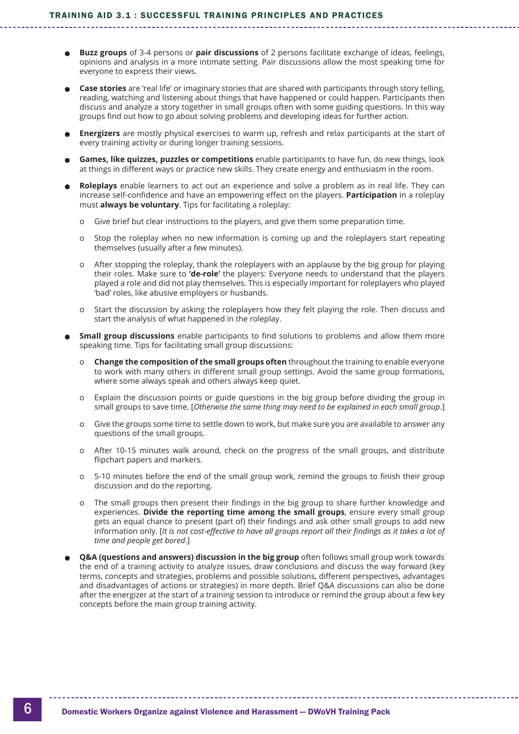- <sup>l</sup> **Buzz groups** of 3-4 persons or **pair discussions** of 2 persons facilitate exchange of ideas, feelings, opinions and analysis in a more intimate setting. Pair discussions allow the most speaking time for everyone to express their views.
- <sup>l</sup> **Case stories** are 'real life' or imaginary stories that are shared with participants through story telling, reading, watching and listening about things that have happened or could happen. Participants then discuss and analyze a story together in small groups often with some guiding questions. In this way groups find out how to go about solving problems and developing ideas for further action.
- **Energizers** are mostly physical exercises to warm up, refresh and relax participants at the start of every training activity or during longer training sessions.
- <sup>l</sup> **Games, like quizzes, puzzles or competitions** enable participants to have fun, do new things, look at things in different ways or practice new skills. They create energy and enthusiasm in the room.
- <sup>l</sup> **Roleplays** enable learners to act out an experience and solve a problem as in real life. They can increase self-confidence and have an empowering effect on the players. **Participation** in a roleplay must **always be voluntary**. Tips for facilitating a roleplay:
	- o Give brief but clear instructions to the players, and give them some preparation time.
	- o Stop the roleplay when no new information is coming up and the roleplayers start repeating themselves (usually after a few minutes).
	- o After stopping the roleplay, thank the roleplayers with an applause by the big group for playing their roles. Make sure to **'de-role'** the players: Everyone needs to understand that the players played a role and did not play themselves. This is especially important for roleplayers who played 'bad' roles, like abusive employers or husbands.
	- o Start the discussion by asking the roleplayers how they felt playing the role. Then discuss and start the analysis of what happened in the roleplay.
- **Small group discussions** enable participants to find solutions to problems and allow them more speaking time. Tips for facilitating small group discussions:
	- o **Change the composition of the small groups often** throughout the training to enable everyone to work with many others in different small group settings. Avoid the same group formations, where some always speak and others always keep quiet.
	- o Explain the discussion points or guide questions in the big group before dividing the group in small groups to save time. [*Otherwise the same thing may need to be explained in each small group*.]
	- o Give the groups some time to settle down to work, but make sure you are available to answer any questions of the small groups.
	- o After 10-15 minutes walk around, check on the progress of the small groups, and distribute flipchart papers and markers.
	- o 5-10 minutes before the end of the small group work, remind the groups to finish their group discussion and do the reporting.
	- o The small groups then present their findings in the big group to share further knowledge and experiences. **Divide the reporting time among the small groups**, ensure every small group gets an equal chance to present (part of) their findings and ask other small groups to add new information only. [*It is not cost-effective to have all groups report all their findings as it takes a lot of time and people get bored*.]
- **Q&A (questions and answers) discussion in the big group** often follows small group work towards the end of a training activity to analyze issues, draw conclusions and discuss the way forward (key terms, concepts and strategies, problems and possible solutions, different perspectives, advantages and disadvantages of actions or strategies) in more depth. Brief Q&A discussions can also be done after the energizer at the start of a training session to introduce or remind the group about a few key concepts before the main group training activity.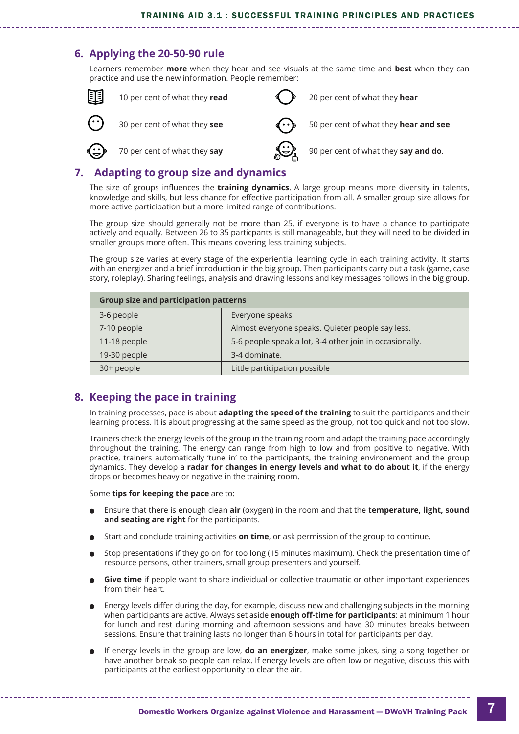#### **6. Applying the 20-50-90 rule**

Learners remember **more** when they hear and see visuals at the same time and **best** when they can practice and use the new information. People remember:



#### **7. Adapting to group size and dynamics**

The size of groups influences the **training dynamics**. A large group means more diversity in talents, knowledge and skills, but less chance for effective participation from all. A smaller group size allows for more active participation but a more limited range of contributions.

The group size should generally not be more than 25, if everyone is to have a chance to participate actively and equally. Between 26 to 35 particpants is still manageable, but they will need to be divided in smaller groups more often. This means covering less training subjects.

The group size varies at every stage of the experiential learning cycle in each training activity. It starts with an energizer and a brief introduction in the big group. Then participants carry out a task (game, case story, roleplay). Sharing feelings, analysis and drawing lessons and key messages follows in the big group.

| <b>Group size and participation patterns</b> |                                                         |  |
|----------------------------------------------|---------------------------------------------------------|--|
| 3-6 people                                   | Everyone speaks                                         |  |
| 7-10 people                                  | Almost everyone speaks. Quieter people say less.        |  |
| 11-18 people                                 | 5-6 people speak a lot, 3-4 other join in occasionally. |  |
| 19-30 people                                 | 3-4 dominate.                                           |  |
| 30+ people                                   | Little participation possible                           |  |

### **8. Keeping the pace in training**

In training processes, pace is about **adapting the speed of the training** to suit the participants and their learning process. It is about progressing at the same speed as the group, not too quick and not too slow.

Trainers check the energy levels of the group in the training room and adapt the training pace accordingly throughout the training. The energy can range from high to low and from positive to negative. With practice, trainers automatically 'tune in' to the participants, the training environement and the group dynamics. They develop a **radar for changes in energy levels and what to do about it**, if the energy drops or becomes heavy or negative in the training room.

#### Some **tips for keeping the pace** are to:

- <sup>l</sup> Ensure that there is enough clean **air** (oxygen) in the room and that the **temperature, light, sound and seating are right** for the participants.
- <sup>l</sup> Start and conclude training activities **on time**, or ask permission of the group to continue.
- <sup>l</sup> Stop presentations if they go on for too long (15 minutes maximum). Check the presentation time of resource persons, other trainers, small group presenters and yourself.
- **Give time** if people want to share individual or collective traumatic or other important experiences from their heart.
- <sup>l</sup> Energy levels differ during the day, for example, discuss new and challenging subjects in the morning when participants are active. Always set aside **enough off-time for participants**: at minimum 1 hour for lunch and rest during morning and afternoon sessions and have 30 minutes breaks between sessions. Ensure that training lasts no longer than 6 hours in total for participants per day.
- <sup>l</sup> If energy levels in the group are low, **do an energizer**, make some jokes, sing a song together or have another break so people can relax. If energy levels are often low or negative, discuss this with participants at the earliest opportunity to clear the air.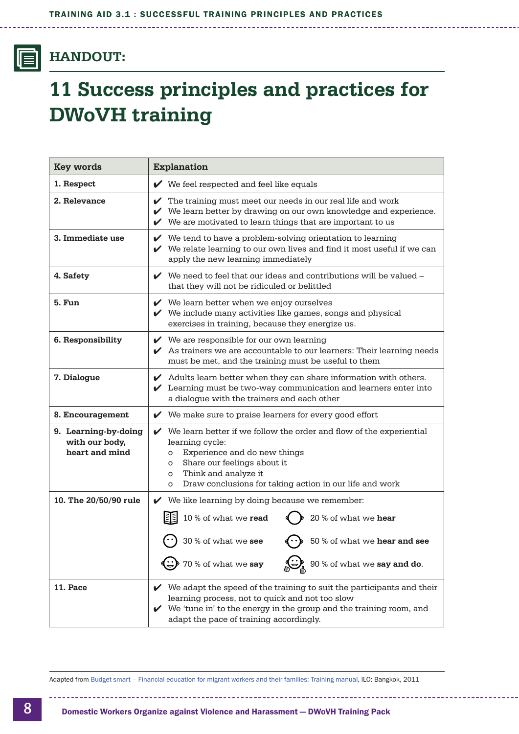<span id="page-7-0"></span>IEI

### **HANDOUT:**

# **11 Success principles and practices for DWoVH training**

| Key words                                                | <b>Explanation</b>                                                                                                                                                                                                                                                              |
|----------------------------------------------------------|---------------------------------------------------------------------------------------------------------------------------------------------------------------------------------------------------------------------------------------------------------------------------------|
| 1. Respect                                               | $\blacktriangleright$ We feel respected and feel like equals                                                                                                                                                                                                                    |
| 2. Relevance                                             | $\checkmark$ The training must meet our needs in our real life and work<br>$\checkmark$ We learn better by drawing on our own knowledge and experience.<br>$\checkmark$ We are motivated to learn things that are important to us                                               |
| 3. Immediate use                                         | $\checkmark$ We tend to have a problem-solving orientation to learning<br>$\checkmark$ We relate learning to our own lives and find it most useful if we can<br>apply the new learning immediately                                                                              |
| 4. Safety                                                | $\vee$ We need to feel that our ideas and contributions will be valued $\overline{\phantom{a}}$<br>that they will not be ridiculed or belittled                                                                                                                                 |
| 5. Fun                                                   | $\mathcal V$ We learn better when we enjoy ourselves<br>$\checkmark$ We include many activities like games, songs and physical<br>exercises in training, because they energize us.                                                                                              |
| 6. Responsibility                                        | $\checkmark$ We are responsible for our own learning<br>$\swarrow$ As trainers we are accountable to our learners: Their learning needs<br>must be met, and the training must be useful to them                                                                                 |
| 7. Dialogue                                              | $\blacktriangleright$ Adults learn better when they can share information with others.<br>$\checkmark$ Learning must be two-way communication and learners enter into<br>a dialogue with the trainers and each other                                                            |
| 8. Encouragement                                         | $\checkmark$ We make sure to praise learners for every good effort                                                                                                                                                                                                              |
| 9. Learning-by-doing<br>with our body,<br>heart and mind | $\checkmark$ We learn better if we follow the order and flow of the experiential<br>learning cycle:<br>Experience and do new things<br>O<br>Share our feelings about it<br>O<br>Think and analyze it<br>O<br>Draw conclusions for taking action in our life and work<br>$\circ$ |
| 10. The 20/50/90 rule                                    | $\mathcal V$ We like learning by doing because we remember:                                                                                                                                                                                                                     |
|                                                          | 10 % of what we read<br>20 % of what we hear                                                                                                                                                                                                                                    |
|                                                          | 30 % of what we see<br>50 % of what we hear and see                                                                                                                                                                                                                             |
|                                                          | 70 % of what we say<br>90 % of what we say and do.                                                                                                                                                                                                                              |
| 11. Pace                                                 | $\checkmark$ We adapt the speed of the training to suit the participants and their<br>learning process, not to quick and not too slow<br>$\checkmark$ We 'tune in' to the energy in the group and the training room, and<br>adapt the pace of training accordingly.             |

Adapted from [Budget smart – Financial education for migrant workers and their families: Training manual,](https://www.ilo.org/wcmsp5/groups/public/---asia/---ro-bangkok/---sro-bangkok/documents/publication/wcms_171658.pdf) ILO: Bangkok, 2011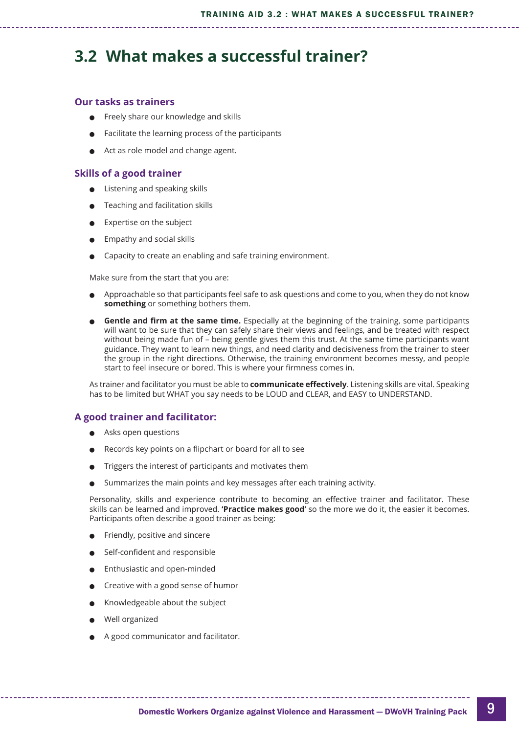### <span id="page-8-0"></span>**3.2 What makes a successful trainer?**

#### **Our tasks as trainers**

- <sup>l</sup> Freely share our knowledge and skills
- Facilitate the learning process of the participants
- Act as role model and change agent.

#### **Skills of a good trainer**

- Listening and speaking skills
- Teaching and facilitation skills
- Expertise on the subject
- <sup>l</sup> Empathy and social skills
- Capacity to create an enabling and safe training environment.

Make sure from the start that you are:

- <sup>l</sup> Approachable so that participants feel safe to ask questions and come to you, when they do not know **something** or something bothers them.
- **Gentle and firm at the same time.** Especially at the beginning of the training, some participants will want to be sure that they can safely share their views and feelings, and be treated with respect without being made fun of – being gentle gives them this trust. At the same time participants want guidance. They want to learn new things, and need clarity and decisiveness from the trainer to steer the group in the right directions. Otherwise, the training environment becomes messy, and people start to feel insecure or bored. This is where your firmness comes in.

As trainer and facilitator you must be able to **communicate effectively**. Listening skills are vital. Speaking has to be limited but WHAT you say needs to be LOUD and CLEAR, and EASY to UNDERSTAND.

#### **A good trainer and facilitator:**

- Asks open questions
- Records key points on a flipchart or board for all to see
- <sup>l</sup> Triggers the interest of participants and motivates them
- Summarizes the main points and key messages after each training activity.

Personality, skills and experience contribute to becoming an effective trainer and facilitator. These skills can be learned and improved. **'Practice makes good'** so the more we do it, the easier it becomes. Participants often describe a good trainer as being:

- Friendly, positive and sincere
- Self-confident and responsible
- <sup>l</sup> Enthusiastic and open-minded
- Creative with a good sense of humor
- <sup>l</sup> Knowledgeable about the subject
- Well organized
- <sup>l</sup> A good communicator and facilitator.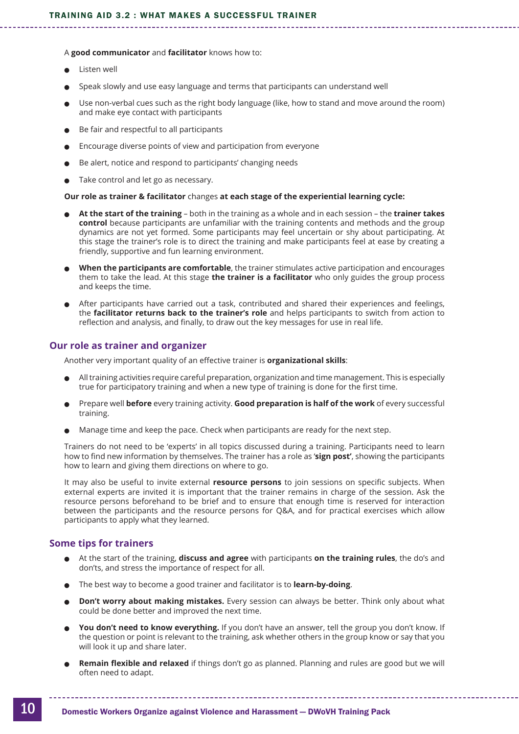#### A **good communicator** and **facilitator** knows how to:

- <sup>l</sup> Listen well
- <sup>l</sup> Speak slowly and use easy language and terms that participants can understand well
- <sup>l</sup> Use non-verbal cues such as the right body language (like, how to stand and move around the room) and make eye contact with participants
- <sup>l</sup> Be fair and respectful to all participants
- <sup>l</sup> Encourage diverse points of view and participation from everyone
- <sup>l</sup> Be alert, notice and respond to participants' changing needs
- Take control and let go as necessary.

#### **Our role as trainer & facilitator** changes **at each stage of the experiential learning cycle:**

- <sup>l</sup> **At the start of the training** both in the training as a whole and in each session the **trainer takes control** because participants are unfamiliar with the training contents and methods and the group dynamics are not yet formed. Some participants may feel uncertain or shy about participating. At this stage the trainer's role is to direct the training and make participants feel at ease by creating a friendly, supportive and fun learning environment.
- <sup>l</sup> **When the participants are comfortable**, the trainer stimulates active participation and encourages them to take the lead. At this stage **the trainer is a facilitator** who only guides the group process and keeps the time.
- <sup>l</sup> After participants have carried out a task, contributed and shared their experiences and feelings, the **facilitator returns back to the trainer's role** and helps participants to switch from action to reflection and analysis, and finally, to draw out the key messages for use in real life.

#### **Our role as trainer and organizer**

Another very important quality of an effective trainer is **organizational skills**:

- $\bullet$  All training activities require careful preparation, organization and time management. This is especially true for participatory training and when a new type of training is done for the first time.
- <sup>l</sup> Prepare well **before** every training activity. **Good preparation is half of the work** of every successful training.
- <sup>l</sup> Manage time and keep the pace. Check when participants are ready for the next step.

Trainers do not need to be 'experts' in all topics discussed during a training. Participants need to learn how to find new information by themselves. The trainer has a role as '**sign post'**, showing the participants how to learn and giving them directions on where to go.

It may also be useful to invite external **resource persons** to join sessions on specific subjects. When external experts are invited it is important that the trainer remains in charge of the session. Ask the resource persons beforehand to be brief and to ensure that enough time is reserved for interaction between the participants and the resource persons for Q&A, and for practical exercises which allow participants to apply what they learned.

#### **Some tips for trainers**

- <sup>l</sup> At the start of the training, **discuss and agree** with participants **on the training rules**, the do's and don'ts, and stress the importance of respect for all.
- <sup>l</sup> The best way to become a good trainer and facilitator is to **learn-by-doing**.
- **. Don't worry about making mistakes.** Every session can always be better. Think only about what could be done better and improved the next time.
- You don't need to know everything. If you don't have an answer, tell the group you don't know. If the question or point is relevant to the training, ask whether others in the group know or say that you will look it up and share later.
- <sup>l</sup> **Remain flexible and relaxed** if things don't go as planned. Planning and rules are good but we will often need to adapt.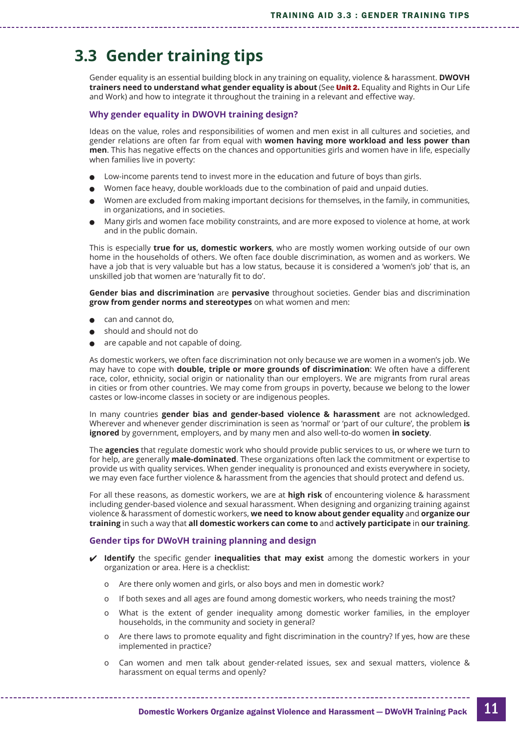### <span id="page-10-0"></span>**3.3 Gender training tips**

Gender equality is an essential building block in any training on equality, violence & harassment. **DWOVH trainers need to understand what gender equality is about** (See Unit 2. [Equality and Rights in Our Life](https://idwfed.org/en/resources/training-pack-yes-to-equality-no-to-violence-domestic-workers-organize-against-violence-and-harassment-dwovh/@@display-file/attachment_4) [and Work](https://idwfed.org/en/resources/training-pack-yes-to-equality-no-to-violence-domestic-workers-organize-against-violence-and-harassment-dwovh/@@display-file/attachment_4)) and how to integrate it throughout the training in a relevant and effective way.

#### **Why gender equality in DWOVH training design?**

Ideas on the value, roles and responsibilities of women and men exist in all cultures and societies, and gender relations are often far from equal with **women having more workload and less power than men**. This has negative effects on the chances and opportunities girls and women have in life, especially when families live in poverty:

- Low-income parents tend to invest more in the education and future of boys than girls.
- <sup>l</sup> Women face heavy, double workloads due to the combination of paid and unpaid duties.
- <sup>l</sup> Women are excluded from making important decisions for themselves, in the family, in communities, in organizations, and in societies.
- <sup>l</sup> Many girls and women face mobility constraints, and are more exposed to violence at home, at work and in the public domain.

This is especially **true for us, domestic workers**, who are mostly women working outside of our own home in the households of others. We often face double discrimination, as women and as workers. We have a job that is very valuable but has a low status, because it is considered a 'women's job' that is, an unskilled job that women are 'naturally fit to do'.

**Gender bias and discrimination** are **pervasive** throughout societies. Gender bias and discrimination **grow from gender norms and stereotypes** on what women and men:

- can and cannot do,
- should and should not do
- are capable and not capable of doing.

As domestic workers, we often face discrimination not only because we are women in a women's job. We may have to cope with **double, triple or more grounds of discrimination**: We often have a different race, color, ethnicity, social origin or nationality than our employers. We are migrants from rural areas in cities or from other countries. We may come from groups in poverty, because we belong to the lower castes or low-income classes in society or are indigenous peoples.

In many countries **gender bias and gender-based violence & harassment** are not acknowledged. Wherever and whenever gender discrimination is seen as 'normal' or 'part of our culture', the problem **is ignored** by government, employers, and by many men and also well-to-do women **in society**.

The **agencies** that regulate domestic work who should provide public services to us, or where we turn to for help, are generally **male-dominated**. These organizations often lack the commitment or expertise to provide us with quality services. When gender inequality is pronounced and exists everywhere in society, we may even face further violence & harassment from the agencies that should protect and defend us.

For all these reasons, as domestic workers, we are at **high risk** of encountering violence & harassment including gender-based violence and sexual harassment. When designing and organizing training against violence & harassment of domestic workers, **we need to know about gender equality** and **organize our training** in such a way that **all domestic workers can come to** and **actively participate** in **our training**.

#### **Gender tips for DWoVH training planning and design**

- **Identify** the specific gender **inequalities that may exist** among the domestic workers in your organization or area. Here is a checklist:
	- o Are there only women and girls, or also boys and men in domestic work?
	- o If both sexes and all ages are found among domestic workers, who needs training the most?
	- o What is the extent of gender inequality among domestic worker families, in the employer households, in the community and society in general?
	- o Are there laws to promote equality and fight discrimination in the country? If yes, how are these implemented in practice?
	- o Can women and men talk about gender-related issues, sex and sexual matters, violence & harassment on equal terms and openly?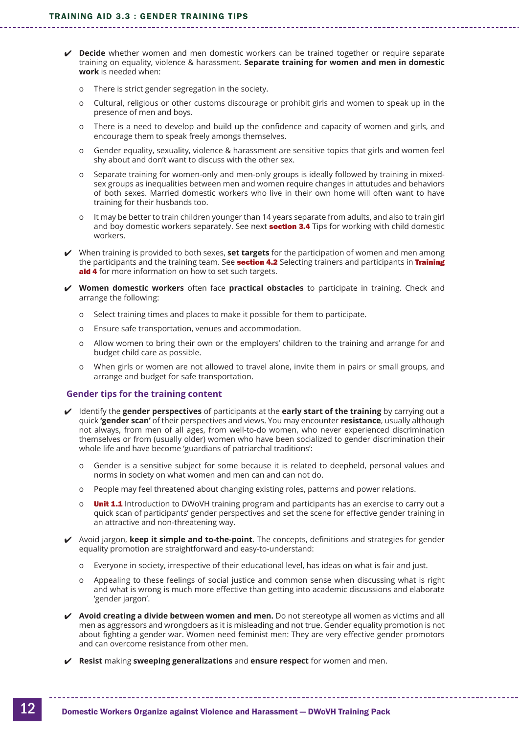- **Decide** whether women and men domestic workers can be trained together or require separate training on equality, violence & harassment. **Separate training for women and men in domestic work** is needed when:
	- o There is strict gender segregation in the society.
	- o Cultural, religious or other customs discourage or prohibit girls and women to speak up in the presence of men and boys.
	- o There is a need to develop and build up the confidence and capacity of women and girls, and encourage them to speak freely amongs themselves.
	- o Gender equality, sexuality, violence & harassment are sensitive topics that girls and women feel shy about and don't want to discuss with the other sex.
	- o Separate training for women-only and men-only groups is ideally followed by training in mixedsex groups as inequalities between men and women require changes in attutudes and behaviors of both sexes. Married domestic workers who live in their own home will often want to have training for their husbands too.
	- o It may be better to train children younger than 14 years separate from adults, and also to train girl and boy domestic workers separately. See next **section 3.4** [Tips for working with child domestic](#page-13-0) [workers.](#page-13-0)
- When training is provided to both sexes, **set targets** for the participation of women and men among the participants and the training team. See **section 4.2** [Selecting trainers and participants in](https://idwfed.org/en/resources/training-pack-yes-to-equality-no-to-violence-domestic-workers-organize-against-violence-and-harassment-dwovh/@@display-file/attachment_14) Training [aid 4](https://idwfed.org/en/resources/training-pack-yes-to-equality-no-to-violence-domestic-workers-organize-against-violence-and-harassment-dwovh/@@display-file/attachment_14) for more information on how to set such targets.
- **Women domestic workers** often face **practical obstacles** to participate in training. Check and arrange the following:
	- o Select training times and places to make it possible for them to participate.
	- o Ensure safe transportation, venues and accommodation.
	- o Allow women to bring their own or the employers' children to the training and arrange for and budget child care as possible.
	- o When girls or women are not allowed to travel alone, invite them in pairs or small groups, and arrange and budget for safe transportation.

#### **Gender tips for the training content**

- Identify the **gender perspectives** of participants at the **early start of the training** by carrying out a quick **'gender scan'** of their perspectives and views. You may encounter **resistance**, usually although not always, from men of all ages, from well-to-do women, who never experienced discrimination themselves or from (usually older) women who have been socialized to gender discrimination their whole life and have become 'guardians of patriarchal traditions':
	- o Gender is a sensitive subject for some because it is related to deepheld, personal values and norms in society on what women and men can and can not do.
	- o People may feel threatened about changing existing roles, patterns and power relations.
	- o **Unit 1.1** [Introduction to DWoVH training](https://idwfed.org/en/resources/training-pack-yes-to-equality-no-to-violence-domestic-workers-organize-against-violence-and-harassment-dwovh/@@display-file/attachment_3) program and participants has an exercise to carry out a quick scan of participants' gender perspectives and set the scene for effective gender training in an attractive and non-threatening way.
- Avoid jargon, **keep it simple and to-the-point**. The concepts, definitions and strategies for gender equality promotion are straightforward and easy-to-understand:
	- o Everyone in society, irrespective of their educational level, has ideas on what is fair and just.
	- o Appealing to these feelings of social justice and common sense when discussing what is right and what is wrong is much more effective than getting into academic discussions and elaborate 'gender jargon'.
- **Avoid creating a divide between women and men.** Do not stereotype all women as victims and all men as aggressors and wrongdoers as it is misleading and not true. Gender equality promotion is not about fighting a gender war. Women need feminist men: They are very effective gender promotors and can overcome resistance from other men.
- **Resist** making **sweeping generalizations** and **ensure respect** for women and men.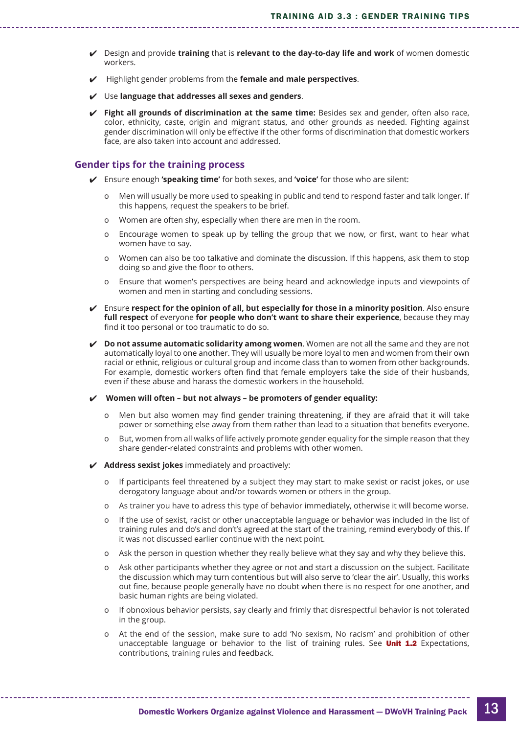- Design and provide **training** that is **relevant to the day-to-day life and work** of women domestic workers.
- Highlight gender problems from the **female and male perspectives**.
- Use **language that addresses all sexes and genders**.
- **Fight all grounds of discrimination at the same time:** Besides sex and gender, often also race, color, ethnicity, caste, origin and migrant status, and other grounds as needed. Fighting against gender discrimination will only be effective if the other forms of discrimination that domestic workers face, are also taken into account and addressed.

#### **Gender tips for the training process**

- Ensure enough **'speaking time'** for both sexes, and **'voice'** for those who are silent:
	- o Men will usually be more used to speaking in public and tend to respond faster and talk longer. If this happens, request the speakers to be brief.
	- o Women are often shy, especially when there are men in the room.
	- o Encourage women to speak up by telling the group that we now, or first, want to hear what women have to say.
	- o Women can also be too talkative and dominate the discussion. If this happens, ask them to stop doing so and give the floor to others.
	- o Ensure that women's perspectives are being heard and acknowledge inputs and viewpoints of women and men in starting and concluding sessions.
- Ensure **respect for the opinion of all, but especially for those in a minority position**. Also ensure **full respect** of everyone **for people who don't want to share their experience**, because they may find it too personal or too traumatic to do so.
- **Do not assume automatic solidarity among women**. Women are not all the same and they are not automatically loyal to one another. They will usually be more loyal to men and women from their own racial or ethnic, religious or cultural group and income class than to women from other backgrounds. For example, domestic workers often find that female employers take the side of their husbands, even if these abuse and harass the domestic workers in the household.
- **Women will often but not always be promoters of gender equality:**
	- o Men but also women may find gender training threatening, if they are afraid that it will take power or something else away from them rather than lead to a situation that benefits everyone.
	- o But, women from all walks of life actively promote gender equality for the simple reason that they share gender-related constraints and problems with other women.
- **Address sexist jokes** immediately and proactively:
	- o If participants feel threatened by a subject they may start to make sexist or racist jokes, or use derogatory language about and/or towards women or others in the group.
	- o As trainer you have to adress this type of behavior immediately, otherwise it will become worse.
	- o If the use of sexist, racist or other unacceptable language or behavior was included in the list of training rules and do's and don't's agreed at the start of the training, remind everybody of this. If it was not discussed earlier continue with the next point.
	- o Ask the person in question whether they really believe what they say and why they believe this.
	- o Ask other participants whether they agree or not and start a discussion on the subject. Facilitate the discussion which may turn contentious but will also serve to 'clear the air'. Usually, this works out fine, because people generally have no doubt when there is no respect for one another, and basic human rights are being violated.
	- o If obnoxious behavior persists, say clearly and frimly that disrespectful behavior is not tolerated in the group.
	- At the end of the session, make sure to add 'No sexism. No racism' and prohibition of other unacceptable language or behavior to the list of training rules. See **Unit 1.2** Expectations, [contributions, training rules and feedback.](https://idwfed.org/en/resources/training-pack-yes-to-equality-no-to-violence-domestic-workers-organize-against-violence-and-harassment-dwovh/@@display-file/attachment_3)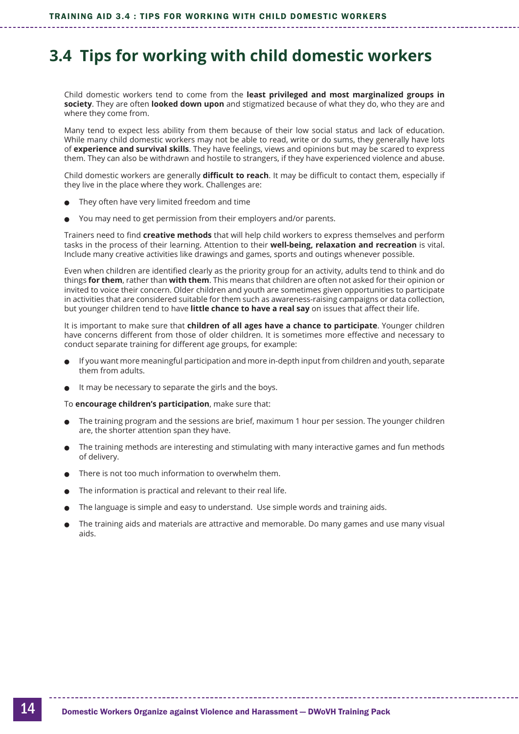### <span id="page-13-0"></span>**3.4 Tips for working with child domestic workers**

Child domestic workers tend to come from the **least privileged and most marginalized groups in society**. They are often **looked down upon** and stigmatized because of what they do, who they are and where they come from.

Many tend to expect less ability from them because of their low social status and lack of education. While many child domestic workers may not be able to read, write or do sums, they generally have lots of **experience and survival skills**. They have feelings, views and opinions but may be scared to express them. They can also be withdrawn and hostile to strangers, if they have experienced violence and abuse.

Child domestic workers are generally **difficult to reach**. It may be difficult to contact them, especially if they live in the place where they work. Challenges are:

- They often have very limited freedom and time
- You may need to get permission from their employers and/or parents.

Trainers need to find **creative methods** that will help child workers to express themselves and perform tasks in the process of their learning. Attention to their **well-being, relaxation and recreation** is vital. Include many creative activities like drawings and games, sports and outings whenever possible.

Even when children are identified clearly as the priority group for an activity, adults tend to think and do things **for them**, rather than **with them**. This means that children are often not asked for their opinion or invited to voice their concern. Older children and youth are sometimes given opportunities to participate in activities that are considered suitable for them such as awareness-raising campaigns or data collection, but younger children tend to have **little chance to have a real say** on issues that affect their life.

It is important to make sure that **children of all ages have a chance to participate**. Younger children have concerns different from those of older children. It is sometimes more effective and necessary to conduct separate training for different age groups, for example:

- <sup>l</sup> If you want more meaningful participation and more in-depth input from children and youth, separate them from adults.
- $\bullet$  It may be necessary to separate the girls and the boys.

To **encourage children's participation**, make sure that:

- <sup>l</sup> The training program and the sessions are brief, maximum 1 hour per session. The younger children are, the shorter attention span they have.
- <sup>l</sup> The training methods are interesting and stimulating with many interactive games and fun methods of delivery.
- There is not too much information to overwhelm them.
- The information is practical and relevant to their real life.
- <sup>l</sup> The language is simple and easy to understand. Use simple words and training aids.
- <sup>l</sup> The training aids and materials are attractive and memorable. Do many games and use many visual aids.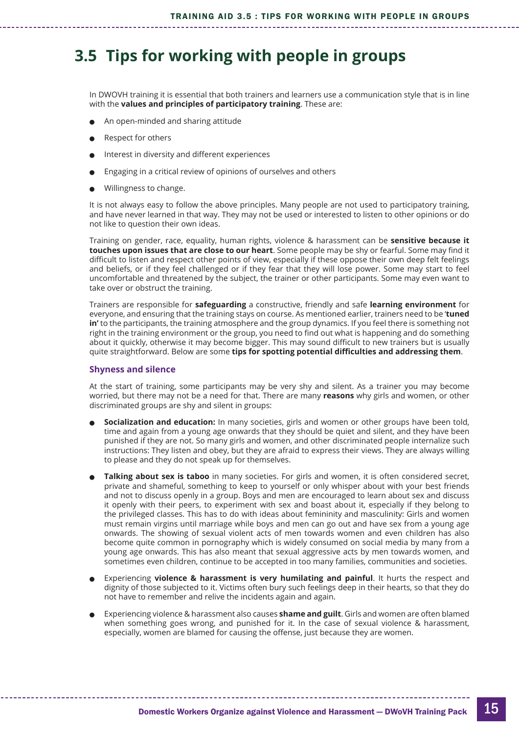### <span id="page-14-0"></span>**3.5 Tips for working with people in groups**

In DWOVH training it is essential that both trainers and learners use a communication style that is in line with the **values and principles of participatory training**. These are:

- An open-minded and sharing attitude
- Respect for others
- Interest in diversity and different experiences
- <sup>l</sup> Engaging in a critical review of opinions of ourselves and others
- <sup>l</sup> Willingness to change.

It is not always easy to follow the above principles. Many people are not used to participatory training, and have never learned in that way. They may not be used or interested to listen to other opinions or do not like to question their own ideas.

Training on gender, race, equality, human rights, violence & harassment can be **sensitive because it touches upon issues that are close to our heart**. Some people may be shy or fearful. Some may find it difficult to listen and respect other points of view, especially if these oppose their own deep felt feelings and beliefs, or if they feel challenged or if they fear that they will lose power. Some may start to feel uncomfortable and threatened by the subject, the trainer or other participants. Some may even want to take over or obstruct the training.

Trainers are responsible for **safeguarding** a constructive, friendly and safe **learning environment** for everyone, and ensuring that the training stays on course. As mentioned earlier, trainers need to be '**tuned in'** to the participants, the training atmosphere and the group dynamics. If you feel there is something not right in the training environment or the group, you need to find out what is happening and do something about it quickly, otherwise it may become bigger. This may sound difficult to new trainers but is usually quite straightforward. Below are some **tips for spotting potential difficulties and addressing them**.

#### **Shyness and silence**

At the start of training, some participants may be very shy and silent. As a trainer you may become worried, but there may not be a need for that. There are many **reasons** why girls and women, or other discriminated groups are shy and silent in groups:

- <sup>l</sup> **Socialization and education:** In many societies, girls and women or other groups have been told, time and again from a young age onwards that they should be quiet and silent, and they have been punished if they are not. So many girls and women, and other discriminated people internalize such instructions: They listen and obey, but they are afraid to express their views. They are always willing to please and they do not speak up for themselves.
- **Talking about sex is taboo** in many societies. For girls and women, it is often considered secret, private and shameful, something to keep to yourself or only whisper about with your best friends and not to discuss openly in a group. Boys and men are encouraged to learn about sex and discuss it openly with their peers, to experiment with sex and boast about it, especially if they belong to the privileged classes. This has to do with ideas about femininity and masculinity: Girls and women must remain virgins until marriage while boys and men can go out and have sex from a young age onwards. The showing of sexual violent acts of men towards women and even children has also become quite common in pornography which is widely consumed on social media by many from a young age onwards. This has also meant that sexual aggressive acts by men towards women, and sometimes even children, continue to be accepted in too many families, communities and societies.
- <sup>l</sup> Experiencing **violence & harassment is very humilating and painful**. It hurts the respect and dignity of those subjected to it. Victims often bury such feelings deep in their hearts, so that they do not have to remember and relive the incidents again and again.
- <sup>l</sup> Experiencing violence & harassment also causes **shame and guilt**. Girls and women are often blamed when something goes wrong, and punished for it. In the case of sexual violence & harassment, especially, women are blamed for causing the offense, just because they are women.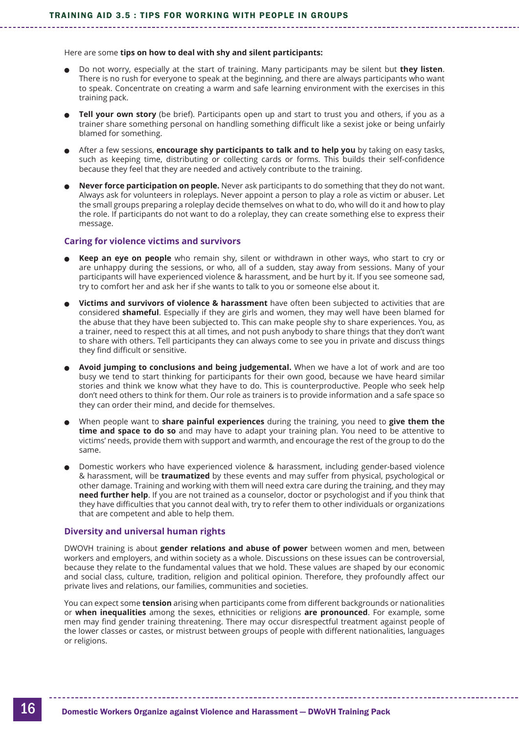Here are some **tips on how to deal with shy and silent participants:**

- **•** Do not worry, especially at the start of training. Many participants may be silent but they listen. There is no rush for everyone to speak at the beginning, and there are always participants who want to speak. Concentrate on creating a warm and safe learning environment with the exercises in this training pack.
- **Tell your own story** (be brief). Participants open up and start to trust you and others, if you as a trainer share something personal on handling something difficult like a sexist joke or being unfairly blamed for something.
- <sup>l</sup> After a few sessions, **encourage shy participants to talk and to help you** by taking on easy tasks, such as keeping time, distributing or collecting cards or forms. This builds their self-confidence because they feel that they are needed and actively contribute to the training.
- <sup>l</sup> **Never force participation on people.** Never ask participants to do something that they do not want. Always ask for volunteers in roleplays. Never appoint a person to play a role as victim or abuser. Let the small groups preparing a roleplay decide themselves on what to do, who will do it and how to play the role. If participants do not want to do a roleplay, they can create something else to express their message.

#### **Caring for violence victims and survivors**

- **Keep an eye on people** who remain shy, silent or withdrawn in other ways, who start to cry or are unhappy during the sessions, or who, all of a sudden, stay away from sessions. Many of your participants will have experienced violence & harassment, and be hurt by it. If you see someone sad, try to comfort her and ask her if she wants to talk to you or someone else about it.
- <sup>l</sup> **Victims and survivors of violence & harassment** have often been subjected to activities that are considered **shameful**. Especially if they are girls and women, they may well have been blamed for the abuse that they have been subjected to. This can make people shy to share experiences. You, as a trainer, need to respect this at all times, and not push anybody to share things that they don't want to share with others. Tell participants they can always come to see you in private and discuss things they find difficult or sensitive.
- <sup>l</sup> **Avoid jumping to conclusions and being judgemental.** When we have a lot of work and are too busy we tend to start thinking for participants for their own good, because we have heard similar stories and think we know what they have to do. This is counterproductive. People who seek help don't need others to think for them. Our role as trainers is to provide information and a safe space so they can order their mind, and decide for themselves.
- <sup>l</sup> When people want to **share painful experiences** during the training, you need to **give them the time and space to do so** and may have to adapt your training plan. You need to be attentive to victims' needs, provide them with support and warmth, and encourage the rest of the group to do the same.
- <sup>l</sup> Domestic workers who have experienced violence & harassment, including gender-based violence & harassment, will be **traumatized** by these events and may suffer from physical, psychological or other damage. Training and working with them will need extra care during the training, and they may **need further help**. If you are not trained as a counselor, doctor or psychologist and if you think that they have difficulties that you cannot deal with, try to refer them to other individuals or organizations that are competent and able to help them.

#### **Diversity and universal human rights**

DWOVH training is about **gender relations and abuse of power** between women and men, between workers and employers, and within society as a whole. Discussions on these issues can be controversial, because they relate to the fundamental values that we hold. These values are shaped by our economic and social class, culture, tradition, religion and political opinion. Therefore, they profoundly affect our private lives and relations, our families, communities and societies.

You can expect some **tension** arising when participants come from different backgrounds or nationalities or **when inequalities** among the sexes, ethnicities or religions **are pronounced**. For example, some men may find gender training threatening. There may occur disrespectful treatment against people of the lower classes or castes, or mistrust between groups of people with different nationalities, languages or religions.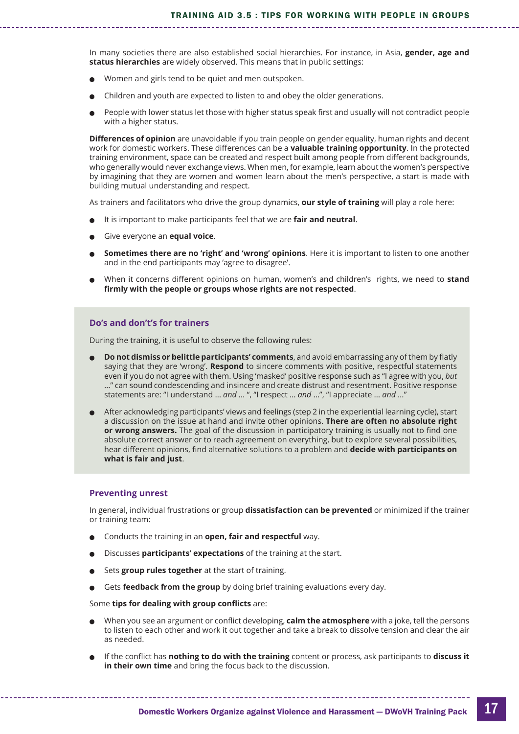In many societies there are also established social hierarchies. For instance, in Asia, **gender, age and status hierarchies** are widely observed. This means that in public settings:

- <sup>l</sup> Women and girls tend to be quiet and men outspoken.
- Children and youth are expected to listen to and obey the older generations.
- <sup>l</sup> People with lower status let those with higher status speak first and usually will not contradict people with a higher status.

**Differences of opinion** are unavoidable if you train people on gender equality, human rights and decent work for domestic workers. These differences can be a **valuable training opportunity**. In the protected training environment, space can be created and respect built among people from different backgrounds, who generally would never exchange views. When men, for example, learn about the women's perspective by imagining that they are women and women learn about the men's perspective, a start is made with building mutual understanding and respect.

As trainers and facilitators who drive the group dynamics, **our style of training** will play a role here:

- It is important to make participants feel that we are **fair and neutral**.
- <sup>l</sup> Give everyone an **equal voice**.
- <sup>l</sup> **Sometimes there are no 'right' and 'wrong' opinions**. Here it is important to listen to one another and in the end participants may 'agree to disagree'.
- <sup>l</sup> When it concerns different opinions on human, women's and children's rights, we need to **stand firmly with the people or groups whose rights are not respected**.

#### **Do's and don't's for trainers**

During the training, it is useful to observe the following rules:

- <sup>l</sup> **Do not dismiss or belittle participants' comments**, and avoid embarrassing any of them by flatly saying that they are 'wrong'. **Respond** to sincere comments with positive, respectful statements even if you do not agree with them. Using 'masked' positive response such as "I agree with you, *but* …" can sound condescending and insincere and create distrust and resentment. Positive response statements are: "I understand … *and* … ", "I respect … *and* …", "I appreciate … *and* …"
- <sup>l</sup> After acknowledging participants' views and feelings (step 2 in the experiential learning cycle), start a discussion on the issue at hand and invite other opinions. **There are often no absolute right or wrong answers.** The goal of the discussion in participatory training is usually not to find one absolute correct answer or to reach agreement on everything, but to explore several possibilities, hear different opinions, find alternative solutions to a problem and **decide with participants on what is fair and just**.

#### **Preventing unrest**

In general, individual frustrations or group **dissatisfaction can be prevented** or minimized if the trainer or training team:

- <sup>l</sup> Conducts the training in an **open, fair and respectful** way.
- <sup>l</sup> Discusses **participants' expectations** of the training at the start.
- Sets **group rules together** at the start of training.
- Gets **feedback from the group** by doing brief training evaluations every day.

Some **tips for dealing with group conflicts** are:

- <sup>l</sup> When you see an argument or conflict developing, **calm the atmosphere** with a joke, tell the persons to listen to each other and work it out together and take a break to dissolve tension and clear the air as needed.
- <sup>l</sup> If the conflict has **nothing to do with the training** content or process, ask participants to **discuss it in their own time** and bring the focus back to the discussion.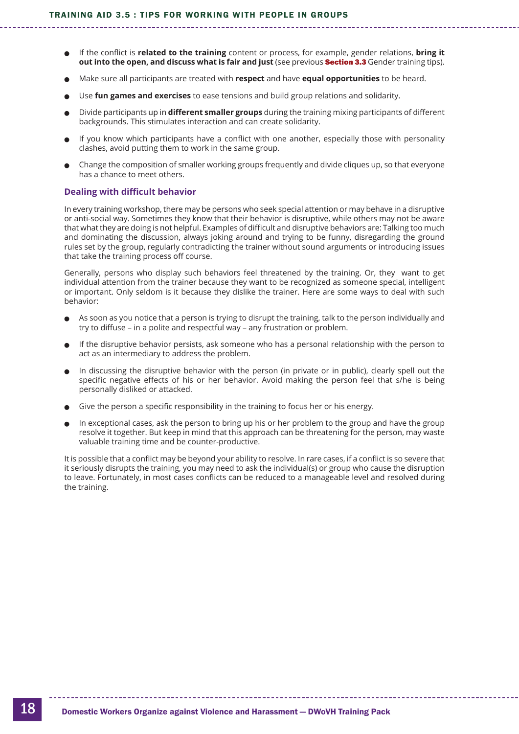- <sup>l</sup> If the conflict is **related to the training** content or process, for example, gender relations, **bring it out into the open, and discuss what is fair and just** (see previous Section 3.3 [Gender training tips](#page-10-0)).
- <sup>l</sup> Make sure all participants are treated with **respect** and have **equal opportunities** to be heard.
- <sup>l</sup> Use **fun games and exercises** to ease tensions and build group relations and solidarity.
- <sup>l</sup> Divide participants up in **different smaller groups** during the training mixing participants of different backgrounds. This stimulates interaction and can create solidarity.
- If you know which participants have a conflict with one another, especially those with personality clashes, avoid putting them to work in the same group.
- <sup>l</sup> Change the composition of smaller working groups frequently and divide cliques up, so that everyone has a chance to meet others.

#### **Dealing with difficult behavior**

In every training workshop, there may be persons who seek special attention or may behave in a disruptive or anti-social way. Sometimes they know that their behavior is disruptive, while others may not be aware that what they are doing is not helpful. Examples of difficult and disruptive behaviors are: Talking too much and dominating the discussion, always joking around and trying to be funny, disregarding the ground rules set by the group, regularly contradicting the trainer without sound arguments or introducing issues that take the training process off course.

Generally, persons who display such behaviors feel threatened by the training. Or, they want to get individual attention from the trainer because they want to be recognized as someone special, intelligent or important. Only seldom is it because they dislike the trainer. Here are some ways to deal with such behavior:

- $\bullet$  As soon as you notice that a person is trying to disrupt the training, talk to the person individually and try to diffuse – in a polite and respectful way – any frustration or problem.
- If the disruptive behavior persists, ask someone who has a personal relationship with the person to act as an intermediary to address the problem.
- In discussing the disruptive behavior with the person (in private or in public), clearly spell out the specific negative effects of his or her behavior. Avoid making the person feel that s/he is being personally disliked or attacked.
- Give the person a specific responsibility in the training to focus her or his energy.
- In exceptional cases, ask the person to bring up his or her problem to the group and have the group resolve it together. But keep in mind that this approach can be threatening for the person, may waste valuable training time and be counter-productive.

It is possible that a conflict may be beyond your ability to resolve. In rare cases, if a conflict is so severe that it seriously disrupts the training, you may need to ask the individual(s) or group who cause the disruption to leave. Fortunately, in most cases conflicts can be reduced to a manageable level and resolved during the training.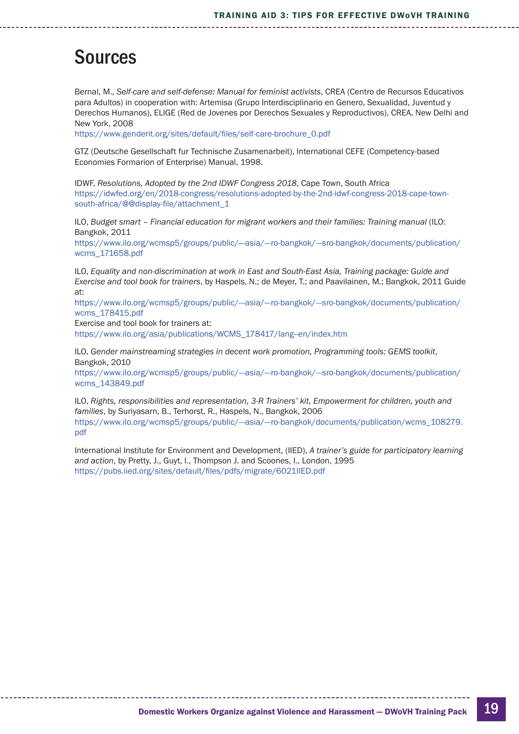## <span id="page-18-0"></span>**Sources**

Bernal, M., *Self-care and self-defense: Manual for feminist activists*, CREA (Centro de Recursos Educativos para Adultos) in cooperation with: Artemisa (Grupo Interdisciplinario en Genero, Sexualidad, Juventud y Derechos Humanos), ELIGE (Red de Jovenes por Derechos Sexuales y Reproductivos), CREA, New Delhi and New York, 2008

[https://www.genderit.org/sites/default/files/self-care-brochure\\_0.pdf](https://www.genderit.org/sites/default/files/self-care-brochure_0.pdf)

GTZ (Deutsche Gesellschaft fur Technische Zusamenarbeit), International CEFE (Competency-based Economies Formarion of Enterprise) Manual, 1998.

IDWF, *Resolutions, Adopted by the 2nd IDWF Congress 2018*, Cape Town, South Africa [https://idwfed.org/en/2018-congress/resolutions-adopted-by-the-2nd-idwf-congress-2018-cape-town](mailto:https://idwfed.org/en/2018-congress/resolutions-adopted-by-the-2nd-idwf-congress-2018-cape-town-south-africa/@@display-file/attachment_1)[south-africa/@@display-file/attachment\\_1](mailto:https://idwfed.org/en/2018-congress/resolutions-adopted-by-the-2nd-idwf-congress-2018-cape-town-south-africa/@@display-file/attachment_1)

ILO, *Budget smart – Financial education for migrant workers and their families: Training manual* (ILO: Bangkok, 2011

[https://www.ilo.org/wcmsp5/groups/public/---asia/---ro-bangkok/---sro-bangkok/documents/publication/](https://www.ilo.org/wcmsp5/groups/public/---asia/---ro-bangkok/---sro-bangkok/documents/publication/wcms_171658.pdf) [wcms\\_171658.pdf](https://www.ilo.org/wcmsp5/groups/public/---asia/---ro-bangkok/---sro-bangkok/documents/publication/wcms_171658.pdf)

ILO, *Equality and non-discrimination at work in East and South-East Asia, Training package: Guide and Exercise and tool book for trainers*, by Haspels, N.; de Meyer, T.; and Paavilainen, M.; Bangkok, 2011 Guide at:

[https://www.ilo.org/wcmsp5/groups/public/---asia/---ro-bangkok/---sro-bangkok/documents/publication/](https://www.ilo.org/wcmsp5/groups/public/---asia/---ro-bangkok/---sro-bangkok/documents/publication/wcms_178415.pdf) [wcms\\_178415.pdf](https://www.ilo.org/wcmsp5/groups/public/---asia/---ro-bangkok/---sro-bangkok/documents/publication/wcms_178415.pdf)

Exercise and tool book for trainers at:

[https://www.ilo.org/asia/publications/WCMS\\_178417/lang--en/index.htm](https://www.ilo.org/asia/publications/WCMS_178417/lang--en/index.htm)

ILO, *Gender mainstreaming strategies in decent work promotion, Programming tools: GEMS toolkit*, Bangkok, 2010

[https://www.ilo.org/wcmsp5/groups/public/---asia/---ro-bangkok/---sro-bangkok/documents/publication/](https://www.ilo.org/wcmsp5/groups/public/---asia/---ro-bangkok/---sro-bangkok/documents/publication/wcms_143849.pdf) [wcms\\_143849.pdf](https://www.ilo.org/wcmsp5/groups/public/---asia/---ro-bangkok/---sro-bangkok/documents/publication/wcms_143849.pdf)

ILO, *Rights, responsibilities and representation, 3-R Trainers' kit, Empowerment for children, youth and families*, by Suriyasarn, B., Terhorst, R., Haspels, N., Bangkok, 2006 https://www.ilo.org/wcmsp5/groups/public/--asia/---ro-bangkok/documents/publication/wcms\_108279. [pdf](https://www.ilo.org/wcmsp5/groups/public/---asia/---ro-bangkok/documents/publication/wcms_108279.pdf)

International Institute for Environment and Development, (IIED), *A trainer's guide for participatory learning and action*, by Pretty, J., Guyt, I., Thompson J. and Scoones, I., London, 1995 <https://pubs.iied.org/sites/default/files/pdfs/migrate/6021IIED.pdf>